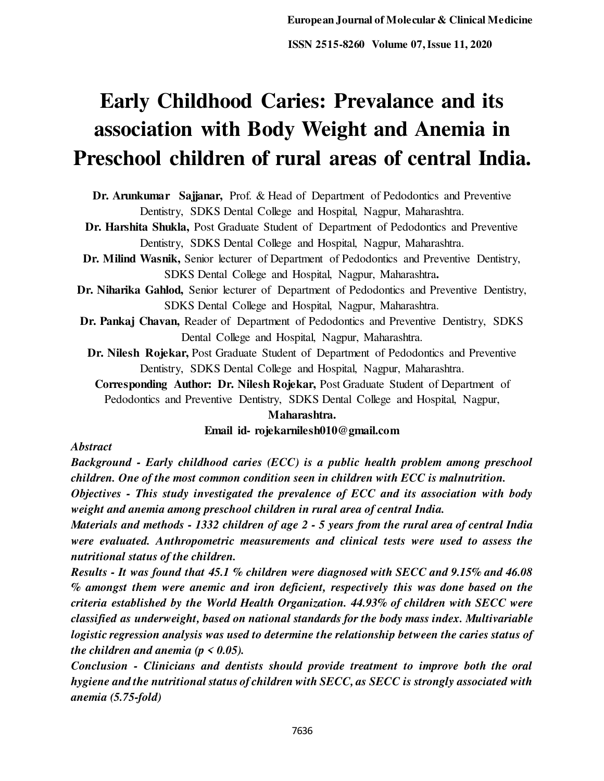# **Early Childhood Caries: Prevalance and its association with Body Weight and Anemia in Preschool children of rural areas of central India.**

**Dr. Arunkumar Sajjanar,** Prof. & Head of Department of Pedodontics and Preventive Dentistry, SDKS Dental College and Hospital, Nagpur, Maharashtra.

**Dr. Harshita Shukla,** Post Graduate Student of Department of Pedodontics and Preventive Dentistry, SDKS Dental College and Hospital, Nagpur, Maharashtra.

- **Dr. Milind Wasnik,** Senior lecturer of Department of Pedodontics and Preventive Dentistry, SDKS Dental College and Hospital, Nagpur, Maharashtra**.**
- **Dr. Niharika Gahlod,** Senior lecturer of Department of Pedodontics and Preventive Dentistry, SDKS Dental College and Hospital, Nagpur, Maharashtra.
- **Dr. Pankaj Chavan,** Reader of Department of Pedodontics and Preventive Dentistry, SDKS Dental College and Hospital, Nagpur, Maharashtra.
	- **Dr. Nilesh Rojekar,** Post Graduate Student of Department of Pedodontics and Preventive Dentistry, SDKS Dental College and Hospital, Nagpur, Maharashtra.

**Corresponding Author: Dr. Nilesh Rojekar,** Post Graduate Student of Department of Pedodontics and Preventive Dentistry, SDKS Dental College and Hospital, Nagpur,

## **Maharashtra.**

## **Email id- rojekarnilesh010@gmail.com**

#### *Abstract*

*Background - Early childhood caries (ECC) is a public health problem among preschool children. One of the most common condition seen in children with ECC is malnutrition.* 

*Objectives - This study investigated the prevalence of ECC and its association with body weight and anemia among preschool children in rural area of central India.* 

*Materials and methods - 1332 children of age 2 - 5 years from the rural area of central India were evaluated. Anthropometric measurements and clinical tests were used to assess the nutritional status of the children.* 

*Results - It was found that 45.1 % children were diagnosed with SECC and 9.15% and 46.08 % amongst them were anemic and iron deficient, respectively this was done based on the criteria established by the World Health Organization. 44.93% of children with SECC were classified as underweight, based on national standards for the body mass index. Multivariable logistic regression analysis was used to determine the relationship between the caries status of the children and anemia (* $p < 0.05$ *).* 

*Conclusion - Clinicians and dentists should provide treatment to improve both the oral hygiene and the nutritional status of children with SECC, as SECC is strongly associated with anemia (5.75-fold)*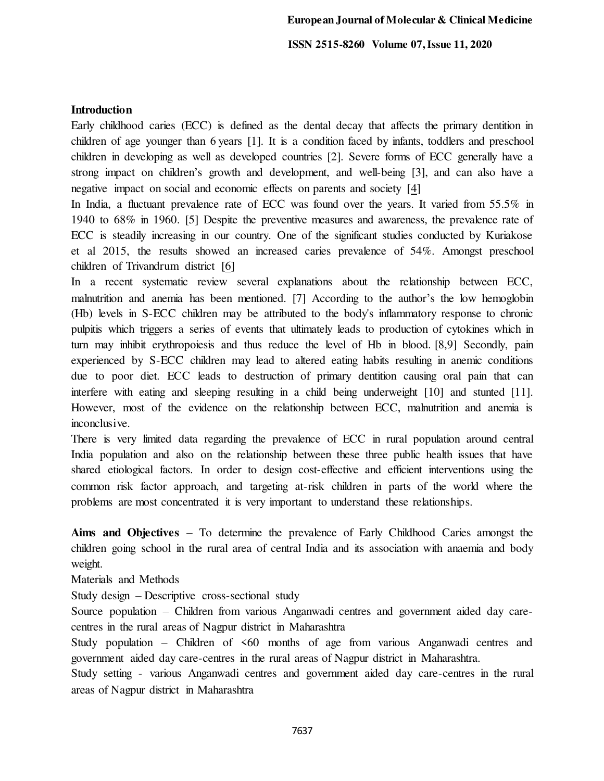## **Introduction**

Early childhood caries (ECC) is defined as the dental decay that affects the primary dentition in children of age younger than 6 years [1]. It is a condition faced by infants, toddlers and preschool children in developing as well as developed countries [2]. Severe forms of ECC generally have a strong impact on children's growth and development, and well-being [3], and can also have a negative impact on social and economic effects on parents and society [\[4\]](https://www.ncbi.nlm.nih.gov/pmc/articles/PMC7197144/#CR6)

In India, a fluctuant prevalence rate of ECC was found over the years. It varied from 55.5% in 1940 to 68% in 1960. [5] Despite the preventive measures and awareness, the prevalence rate of ECC is steadily increasing in our country. One of the significant studies conducted by Kuriakose et al 2015, the results showed an increased caries prevalence of 54%. Amongst preschool children of Trivandrum district [\[6\]](https://www.ncbi.nlm.nih.gov/pmc/articles/PMC4319349/#ref13)

In a recent systematic review several explanations about the relationship between ECC, malnutrition and anemia has been mentioned. [7] According to the author's the low hemoglobin (Hb) levels in S-ECC children may be attributed to the body's inflammatory response to chronic pulpitis which triggers a series of events that ultimately leads to production of cytokines which in turn may inhibit erythropoiesis and thus reduce the level of Hb in blood. [8,9] Secondly, pain experienced by S-ECC children may lead to altered eating habits resulting in anemic conditions due to poor diet. ECC leads to destruction of primary dentition causing oral pain that can interfere with eating and sleeping resulting in a child being underweight [10] and stunted [11]. However, most of the evidence on the relationship between ECC, malnutrition and anemia is inconclusive.

There is very limited data regarding the prevalence of ECC in rural population around central India population and also on the relationship between these three public health issues that have shared etiological factors. In order to design cost-effective and efficient interventions using the common risk factor approach, and targeting at-risk children in parts of the world where the problems are most concentrated it is very important to understand these relationships.

**Aims and Objectives** – To determine the prevalence of Early Childhood Caries amongst the children going school in the rural area of central India and its association with anaemia and body weight.

Materials and Methods

Study design – Descriptive cross-sectional study

Source population – Children from various Anganwadi centres and government aided day carecentres in the rural areas of Nagpur district in Maharashtra

Study population – Children of <60 months of age from various Anganwadi centres and government aided day care-centres in the rural areas of Nagpur district in Maharashtra.

Study setting - various Anganwadi centres and government aided day care-centres in the rural areas of Nagpur district in Maharashtra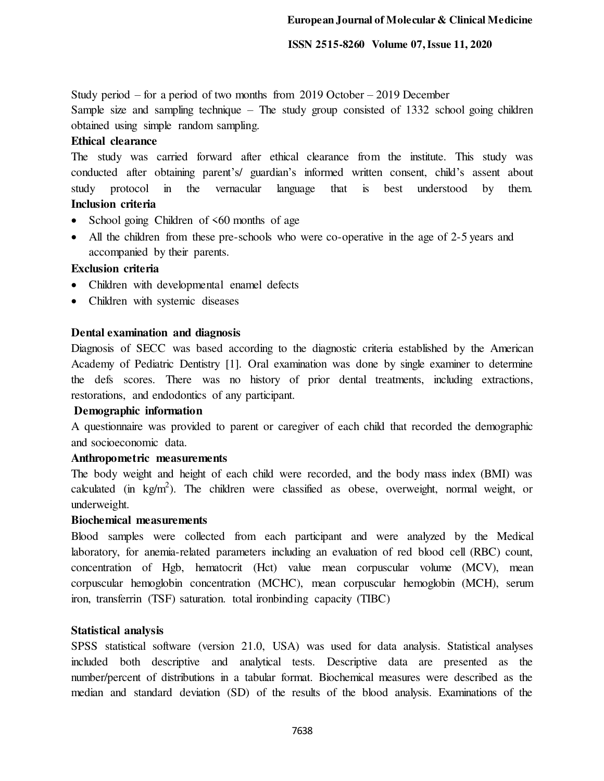Study period – for a period of two months from 2019 October – 2019 December

Sample size and sampling technique – The study group consisted of 1332 school going children obtained using simple random sampling.

## **Ethical clearance**

The study was carried forward after ethical clearance from the institute. This study was conducted after obtaining parent's/ guardian's informed written consent, child's assent about study protocol in the vernacular language that is best understood by them. **Inclusion criteria** 

- School going Children of  $\leq 60$  months of age
- All the children from these pre-schools who were co-operative in the age of 2-5 years and accompanied by their parents.

## **Exclusion criteria**

- Children with developmental enamel defects
- Children with systemic diseases

#### **Dental examination and diagnosis**

Diagnosis of SECC was based according to the diagnostic criteria established by the American Academy of Pediatric Dentistry [1]. Oral examination was done by single examiner to determine the defs scores. There was no history of prior dental treatments, including extractions, restorations, and endodontics of any participant.

#### **Demographic information**

A questionnaire was provided to parent or caregiver of each child that recorded the demographic and socioeconomic data.

#### **Anthropometric measurements**

The body weight and height of each child were recorded, and the body mass index (BMI) was calculated (in  $kg/m^2$ ). The children were classified as obese, overweight, normal weight, or underweight.

#### **Biochemical measurements**

Blood samples were collected from each participant and were analyzed by the Medical laboratory, for anemia-related parameters including an evaluation of red blood cell (RBC) count, concentration of Hgb, hematocrit (Hct) value mean corpuscular volume (MCV), mean corpuscular hemoglobin concentration (MCHC), mean corpuscular hemoglobin (MCH), serum iron, transferrin (TSF) saturation. total ironbinding capacity (TIBC)

#### **Statistical analysis**

SPSS statistical software (version 21.0, USA) was used for data analysis. Statistical analyses included both descriptive and analytical tests. Descriptive data are presented as the number/percent of distributions in a tabular format. Biochemical measures were described as the median and standard deviation (SD) of the results of the blood analysis. Examinations of the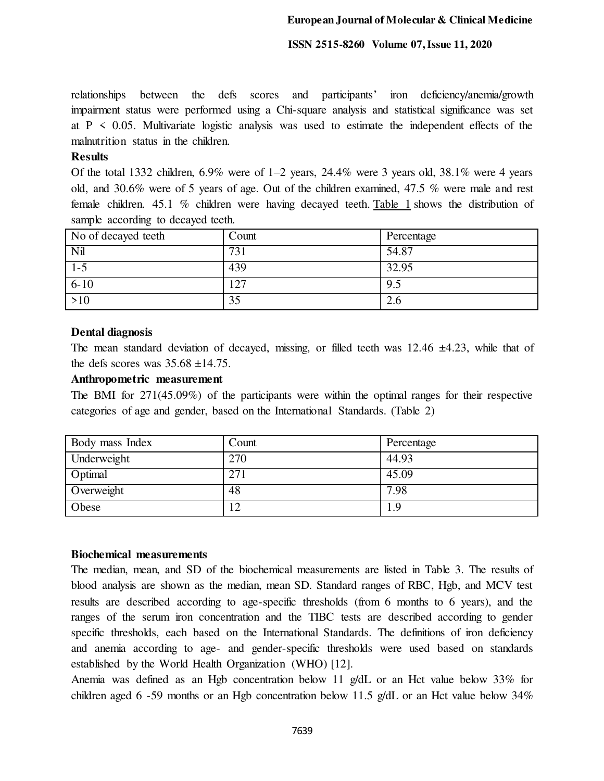relationships between the defs scores and participants' iron deficiency/anemia/growth impairment status were performed using a Chi-square analysis and statistical significance was set at  $P \leq 0.05$ . Multivariate logistic analysis was used to estimate the independent effects of the malnutrition status in the children.

#### **Results**

Of the total 1332 children,  $6.9\%$  were of  $1-2$  years,  $24.4\%$  were 3 years old,  $38.1\%$  were 4 years old, and 30.6% were of 5 years of age. Out of the children examined, 47.5 % were male and rest female children. 45.1 % children were having decayed teeth[. Table 1](https://www.ncbi.nlm.nih.gov/pmc/articles/PMC4319349/table/T1/) shows the distribution of sample according to decayed teeth.

| No of decayed teeth | Count           | Percentage |
|---------------------|-----------------|------------|
| Nil                 | 73 <sub>1</sub> | 54.87      |
| $1 - 5$             | 439             | 32.95      |
| $6 - 10$            | 127             | 9.5        |
| >10                 | 35              | 2.6        |

## **Dental diagnosis**

The mean standard deviation of decayed, missing, or filled teeth was  $12.46 \pm 4.23$ , while that of the defs scores was  $35.68 \pm 14.75$ .

#### **Anthropometric measurement**

The BMI for 271(45.09%) of the participants were within the optimal ranges for their respective categories of age and gender, based on the International Standards. (Table 2)

| Body mass Index | Count | Percentage |
|-----------------|-------|------------|
| Underweight     | 270   | 44.93      |
| Optimal         | 271   | 45.09      |
| Overweight      | 48    | 7.98       |
| Obese           |       | 1.9        |

#### **Biochemical measurements**

The median, mean, and SD of the biochemical measurements are listed in Table 3. The results of blood analysis are shown as the median, mean SD. Standard ranges of RBC, Hgb, and MCV test results are described according to age-specific thresholds (from 6 months to 6 years), and the ranges of the serum iron concentration and the TIBC tests are described according to gender specific thresholds, each based on the International Standards. The definitions of iron deficiency and anemia according to age- and gender-specific thresholds were used based on standards established by the World Health Organization (WHO) [12].

Anemia was defined as an Hgb concentration below 11 g/dL or an Hct value below 33% for children aged 6 -59 months or an Hgb concentration below 11.5 g/dL or an Hct value below  $34\%$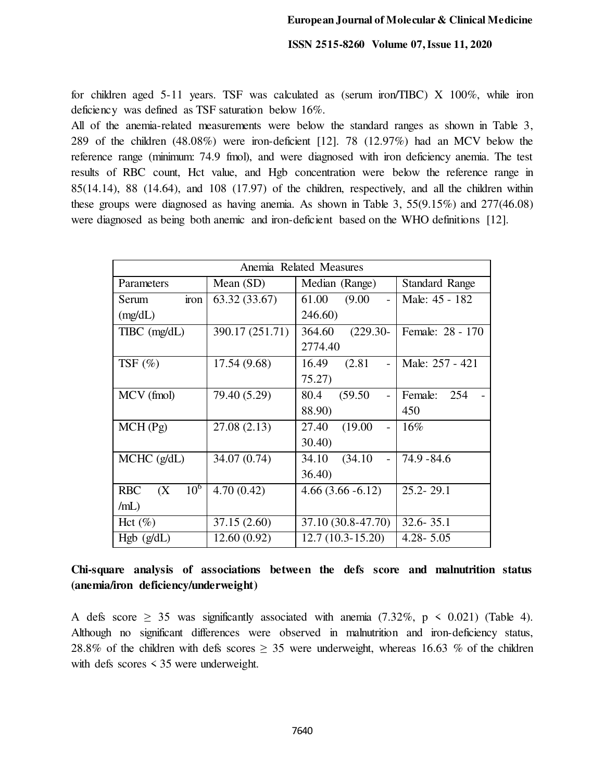for children aged 5-11 years. TSF was calculated as (serum iron/TIBC) X 100%, while iron deficiency was defined as TSF saturation below 16%.

All of the anemia-related measurements were below the standard ranges as shown in Table 3, 289 of the children (48.08%) were iron-deficient [12]. 78 (12.97%) had an MCV below the reference range (minimum: 74.9 fmol), and were diagnosed with iron deficiency anemia. The test results of RBC count, Hct value, and Hgb concentration were below the reference range in 85(14.14), 88 (14.64), and 108 (17.97) of the children, respectively, and all the children within these groups were diagnosed as having anemia. As shown in Table 3, 55(9.15%) and 277(46.08) were diagnosed as being both anemic and iron-deficient based on the WHO definitions [12].

| Anemia Related Measures              |                 |                                              |                       |  |  |
|--------------------------------------|-----------------|----------------------------------------------|-----------------------|--|--|
| Parameters                           | Mean (SD)       | Median (Range)                               | <b>Standard Range</b> |  |  |
| iron<br>Serum                        | 63.32(33.67)    | 61.00<br>(9.00)<br>$\overline{\phantom{a}}$  | Male: 45 - 182        |  |  |
| (mg/dL)                              |                 | 246.60)                                      |                       |  |  |
| $T\text{IBC}$ (mg/dL)                | 390.17 (251.71) | 364.60<br>$(229.30 -$                        | Female: 28 - 170      |  |  |
|                                      |                 | 2774.40                                      |                       |  |  |
| TSF $(\%)$                           | 17.54 (9.68)    | (2.81)<br>16.49<br>$\overline{\phantom{a}}$  | Male: 257 - 421       |  |  |
|                                      |                 | 75.27)                                       |                       |  |  |
| MCV (fmol)                           | 79.40 (5.29)    | (59.50)<br>80.4<br>$\overline{a}$            | Female:<br>254        |  |  |
|                                      |                 | 88.90)                                       | 450                   |  |  |
| MCH(Pg)                              | 27.08 (2.13)    | 27.40<br>(19.00)<br>$\overline{\phantom{0}}$ | $16\%$                |  |  |
|                                      |                 | 30.40                                        |                       |  |  |
| $MCHC$ ( $g/dL$ )                    | 34.07 (0.74)    | 34.10<br>(34.10)<br>$\overline{a}$           | $74.9 - 84.6$         |  |  |
|                                      |                 | 36.40                                        |                       |  |  |
| 10 <sup>6</sup><br><b>RBC</b><br>(X) | 4.70(0.42)      | $4.66(3.66 - 6.12)$                          | $25.2 - 29.1$         |  |  |
| /mL)                                 |                 |                                              |                       |  |  |
| Hct $(\%)$                           | 37.15 (2.60)    | 37.10 (30.8-47.70)                           | $32.6 - 35.1$         |  |  |
| Hgb (g/dL)                           | 12.60(0.92)     | $12.7(10.3-15.20)$                           | $4.28 - 5.05$         |  |  |

# **Chi-square analysis of associations between the defs score and malnutrition status (anemia/iron deficiency/underweight)**

A defs score  $\geq$  35 was significantly associated with anemia (7.32%, p < 0.021) (Table 4). Although no significant differences were observed in malnutrition and iron-deficiency status, 28.8% of the children with defs scores  $\geq$  35 were underweight, whereas 16.63 % of the children with defs scores < 35 were underweight.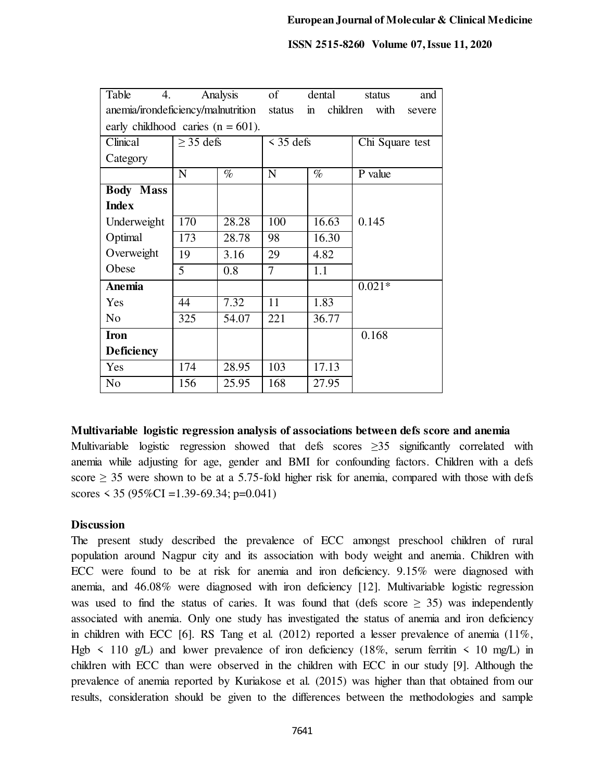| Table<br>4.                          |                | Analysis | of                       | dental         | and<br>status   |  |
|--------------------------------------|----------------|----------|--------------------------|----------------|-----------------|--|
| anemia/irondeficiency/malnutrition   |                | status   | children<br>$\mathbf{m}$ | with<br>severe |                 |  |
| early childhood caries $(n = 601)$ . |                |          |                          |                |                 |  |
| Clinical                             | $\geq$ 35 defs |          | $\leq$ 35 defs           |                | Chi Square test |  |
| Category                             |                |          |                          |                |                 |  |
|                                      | N              | $\%$     | $\mathbf N$              | $\%$           | P value         |  |
| <b>Body Mass</b>                     |                |          |                          |                |                 |  |
| <b>Index</b>                         |                |          |                          |                |                 |  |
| Underweight                          | 170            | 28.28    | 100                      | 16.63          | 0.145           |  |
| Optimal                              | 173            | 28.78    | 98                       | 16.30          |                 |  |
| Overweight                           | 19             | 3.16     | 29                       | 4.82           |                 |  |
| Obese                                | 5              | 0.8      | 7                        | 1.1            |                 |  |
| Anemia                               |                |          |                          |                | $0.021*$        |  |
| Yes                                  | 44             | 7.32     | 11                       | 1.83           |                 |  |
| N <sub>o</sub>                       | 325            | 54.07    | 221                      | 36.77          |                 |  |
| <b>Iron</b>                          |                |          |                          |                | 0.168           |  |
| <b>Deficiency</b>                    |                |          |                          |                |                 |  |
| Yes                                  | 174            | 28.95    | 103                      | 17.13          |                 |  |
| N <sub>o</sub>                       | 156            | 25.95    | 168                      | 27.95          |                 |  |

**Multivariable logistic regression analysis of associations between defs score and anemia**

Multivariable logistic regression showed that defs scores  $\geq$ 35 significantly correlated with anemia while adjusting for age, gender and BMI for confounding factors. Children with a defs score  $\geq$  35 were shown to be at a 5.75-fold higher risk for anemia, compared with those with defs scores  $\le$  35 (95%CI = 1.39-69.34; p=0.041)

#### **Discussion**

The present study described the prevalence of ECC amongst preschool children of rural population around Nagpur city and its association with body weight and anemia. Children with ECC were found to be at risk for anemia and iron deficiency. 9.15% were diagnosed with anemia, and 46.08% were diagnosed with iron deficiency [12]. Multivariable logistic regression was used to find the status of caries. It was found that (defs score  $\geq$  35) was independently associated with anemia. Only one study has investigated the status of anemia and iron deficiency in children with ECC [6]. RS Tang et al. (2012) reported a lesser prevalence of anemia (11%, Hgb  $\leq$  110 g/L) and lower prevalence of iron deficiency (18%, serum ferritin  $\leq$  10 mg/L) in children with ECC than were observed in the children with ECC in our study [9]. Although the prevalence of anemia reported by Kuriakose et al. (2015) was higher than that obtained from our results, consideration should be given to the differences between the methodologies and sample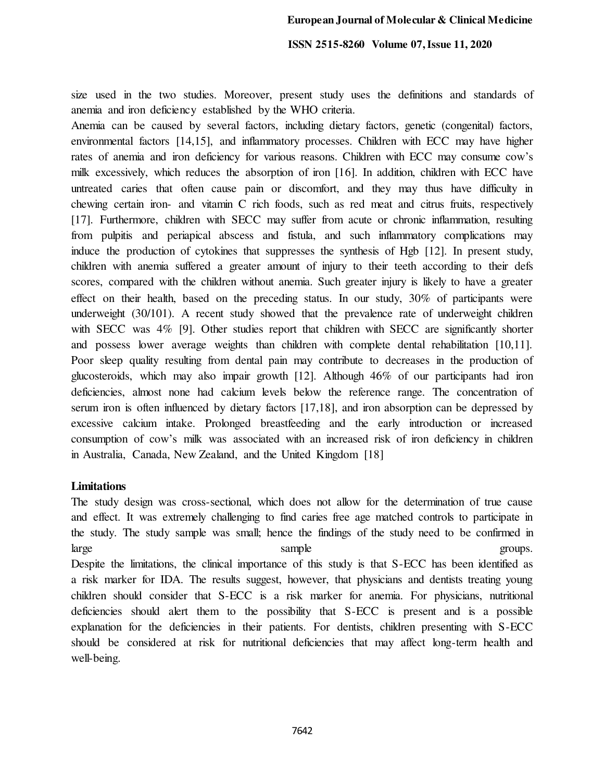size used in the two studies. Moreover, present study uses the definitions and standards of anemia and iron deficiency established by the WHO criteria.

Anemia can be caused by several factors, including dietary factors, genetic (congenital) factors, environmental factors [14,15], and inflammatory processes. Children with ECC may have higher rates of anemia and iron deficiency for various reasons. Children with ECC may consume cow's milk excessively, which reduces the absorption of iron [16]. In addition, children with ECC have untreated caries that often cause pain or discomfort, and they may thus have difficulty in chewing certain iron- and vitamin C rich foods, such as red meat and citrus fruits, respectively [17]. Furthermore, children with SECC may suffer from acute or chronic inflammation, resulting from pulpitis and periapical abscess and fistula, and such inflammatory complications may induce the production of cytokines that suppresses the synthesis of Hgb [12]. In present study, children with anemia suffered a greater amount of injury to their teeth according to their defs scores, compared with the children without anemia. Such greater injury is likely to have a greater effect on their health, based on the preceding status. In our study, 30% of participants were underweight (30/101). A recent study showed that the prevalence rate of underweight children with SECC was 4% [9]. Other studies report that children with SECC are significantly shorter and possess lower average weights than children with complete dental rehabilitation [10,11]. Poor sleep quality resulting from dental pain may contribute to decreases in the production of glucosteroids, which may also impair growth [12]. Although 46% of our participants had iron deficiencies, almost none had calcium levels below the reference range. The concentration of serum iron is often influenced by dietary factors [17,18], and iron absorption can be depressed by excessive calcium intake. Prolonged breastfeeding and the early introduction or increased consumption of cow's milk was associated with an increased risk of iron deficiency in children in Australia, Canada, New Zealand, and the United Kingdom [18]

#### **Limitations**

The study design was cross-sectional, which does not allow for the determination of true cause and effect. It was extremely challenging to find caries free age matched controls to participate in the study. The study sample was small; hence the findings of the study need to be confirmed in large groups. Despite the limitations, the clinical importance of this study is that S-ECC has been identified as a risk marker for IDA. The results suggest, however, that physicians and dentists treating young children should consider that S-ECC is a risk marker for anemia. For physicians, nutritional deficiencies should alert them to the possibility that S-ECC is present and is a possible explanation for the deficiencies in their patients. For dentists, children presenting with S-ECC should be considered at risk for nutritional deficiencies that may affect long-term health and well-being.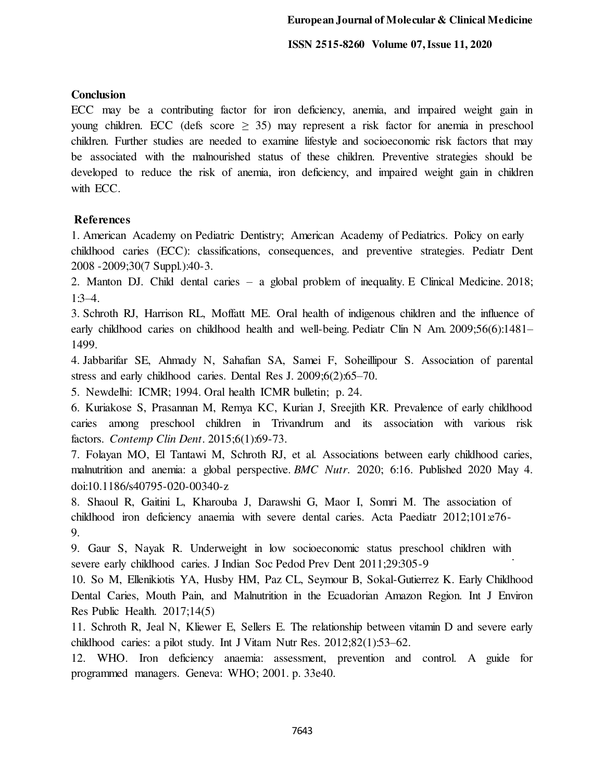## **Conclusion**

ECC may be a contributing factor for iron deficiency, anemia, and impaired weight gain in young children. ECC (defs score  $\geq$  35) may represent a risk factor for anemia in preschool children. Further studies are needed to examine lifestyle and socioeconomic risk factors that may be associated with the malnourished status of these children. Preventive strategies should be developed to reduce the risk of anemia, iron deficiency, and impaired weight gain in children with ECC.

# **References**

1. American Academy on Pediatric Dentistry; American Academy of Pediatrics. Policy on early childhood caries (ECC): classifications, consequences, and preventive strategies. Pediatr Dent 2008 -2009;30(7 Suppl.):40-3.

2. Manton DJ. Child dental caries – a global problem of inequality. E Clinical Medicine. 2018; 1:3–4.

3. Schroth RJ, Harrison RL, Moffatt ME. Oral health of indigenous children and the influence of early childhood caries on childhood health and well-being. Pediatr Clin N Am. 2009;56(6):1481– 1499.

4. Jabbarifar SE, Ahmady N, Sahafian SA, Samei F, Soheillipour S. Association of parental stress and early childhood caries. Dental Res J. 2009;6(2):65–70.

5. Newdelhi: ICMR; 1994. Oral health ICMR bulletin; p. 24.

6. Kuriakose S, Prasannan M, Remya KC, Kurian J, Sreejith KR. Prevalence of early childhood caries among preschool children in Trivandrum and its association with various risk factors. *Contemp Clin Dent*. 2015;6(1):69-73.

7. Folayan MO, El Tantawi M, Schroth RJ, et al. Associations between early childhood caries, malnutrition and anemia: a global perspective. *BMC Nutr*. 2020; 6:16. Published 2020 May 4. doi:10.1186/s40795-020-00340-z

8. Shaoul R, Gaitini L, Kharouba J, Darawshi G, Maor I, Somri M. The association of childhood iron deficiency anaemia with severe dental caries. Acta Paediatr 2012;101:e76- 9.

9. Gaur S, Nayak R. Underweight in low socioeconomic status preschool children with severe early childhood caries. J Indian Soc Pedod Prev Dent 2011;29:305-9

10. So M, Ellenikiotis YA, Husby HM, Paz CL, Seymour B, Sokal-Gutierrez K. Early Childhood Dental Caries, Mouth Pain, and Malnutrition in the Ecuadorian Amazon Region. Int J Environ Res Public Health. 2017;14(5)

11. Schroth R, Jeal N, Kliewer E, Sellers E. The relationship between vitamin D and severe early childhood caries: a pilot study. Int J Vitam Nutr Res. 2012;82(1):53–62.

12. WHO. Iron deficiency anaemia: assessment, prevention and control. A guide for programmed managers. Geneva: WHO; 2001. p. 33e40.